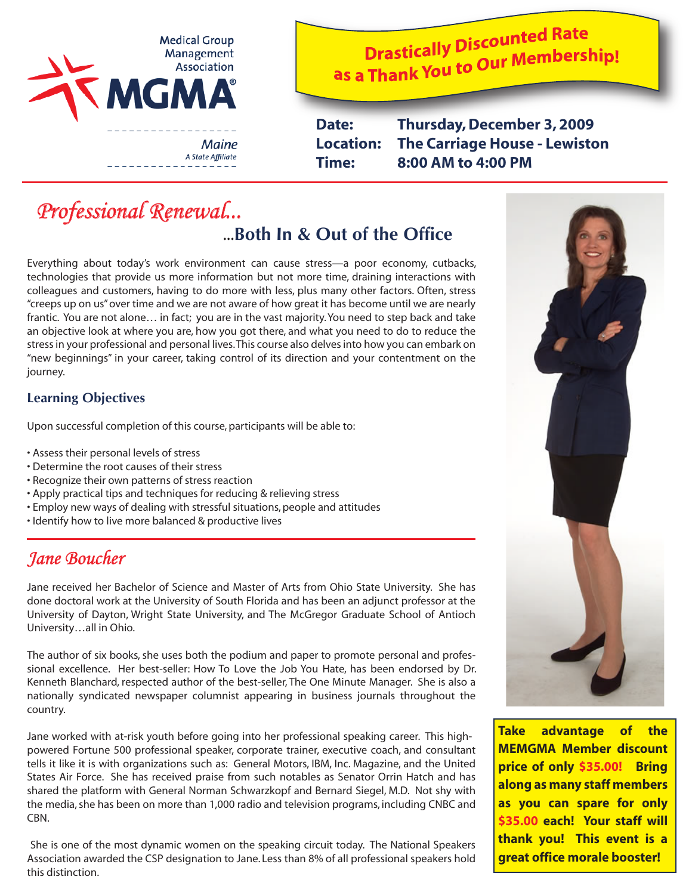

**Drastically Discounted Rate Drastically Discounted Mate**<br>as a Thank You to Our Membership!

**Date: Thursday, December 3, 2009 Location: The Carriage House - Lewiston Time: 8:00 AM to 4:00 PM** 

# *Professional Renewal...* ...**Both In & Out of the Office**

Everything about today's work environment can cause stress—a poor economy, cutbacks, technologies that provide us more information but not more time, draining interactions with colleagues and customers, having to do more with less, plus many other factors. Often, stress "creeps up on us" over time and we are not aware of how great it has become until we are nearly frantic. You are not alone… in fact; you are in the vast majority. You need to step back and take an objective look at where you are, how you got there, and what you need to do to reduce the stress in your professional and personal lives. This course also delves into how you can embark on "new beginnings" in your career, taking control of its direction and your contentment on the journey.

#### **Learning Objectives**

Upon successful completion of this course, participants will be able to:

- Assess their personal levels of stress
- Determine the root causes of their stress
- Recognize their own patterns of stress reaction
- Apply practical tips and techniques for reducing & relieving stress
- Employ new ways of dealing with stressful situations, people and attitudes
- Identify how to live more balanced & productive lives

# *Jane Boucher*

Jane received her Bachelor of Science and Master of Arts from Ohio State University. She has done doctoral work at the University of South Florida and has been an adjunct professor at the University of Dayton, Wright State University, and The McGregor Graduate School of Antioch University…all in Ohio.

The author of six books, she uses both the podium and paper to promote personal and professional excellence. Her best-seller: How To Love the Job You Hate, has been endorsed by Dr. Kenneth Blanchard, respected author of the best-seller, The One Minute Manager. She is also a nationally syndicated newspaper columnist appearing in business journals throughout the country.

Jane worked with at-risk youth before going into her professional speaking career. This highpowered Fortune 500 professional speaker, corporate trainer, executive coach, and consultant tells it like it is with organizations such as: General Motors, IBM, Inc. Magazine, and the United States Air Force. She has received praise from such notables as Senator Orrin Hatch and has shared the platform with General Norman Schwarzkopf and Bernard Siegel, M.D. Not shy with the media, she has been on more than 1,000 radio and television programs, including CNBC and CBN.

 She is one of the most dynamic women on the speaking circuit today. The National Speakers Association awarded the CSP designation to Jane. Less than 8% of all professional speakers hold this distinction.



**Take advantage of the MEMGMA Member discount price of only \$35.00! Bring along as many staff members as you can spare for only \$35.00 each! Your staff will thank you! This event is a great office morale booster!**